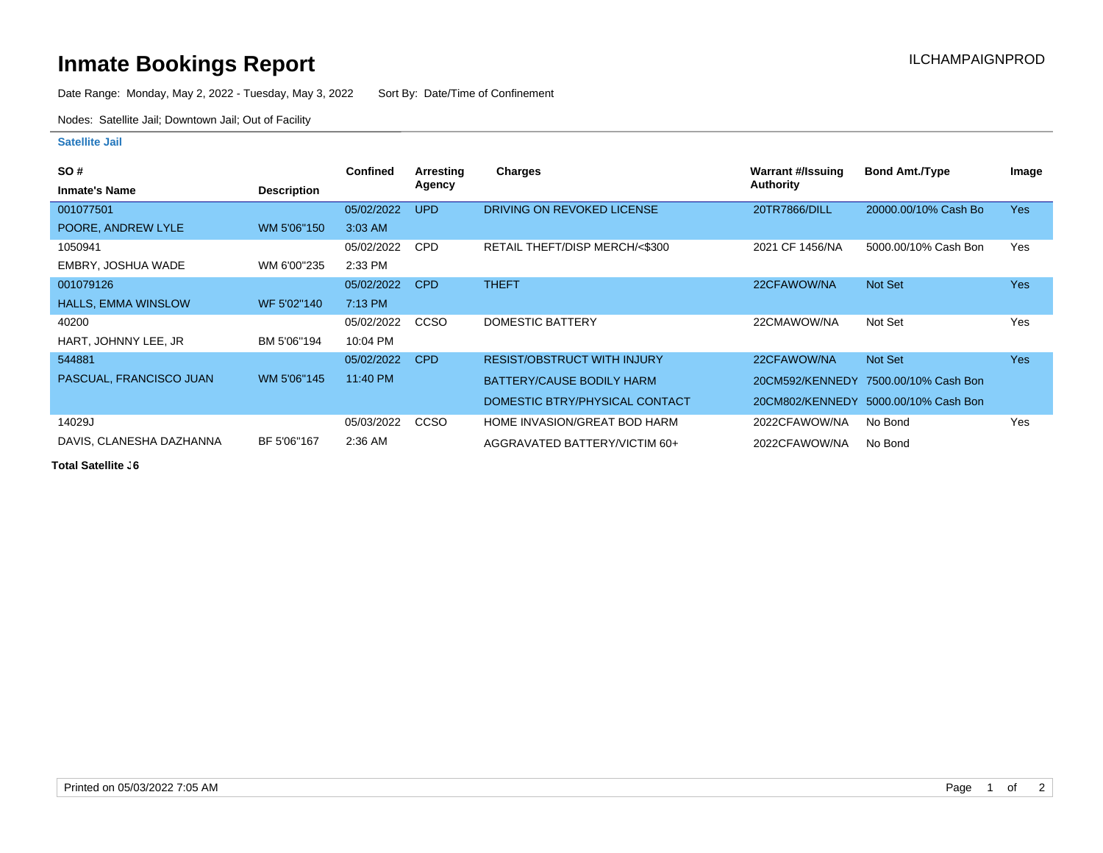## **Inmate Bookings Report Installation ILCHAMPAIGNPROD**

Date Range: Monday, May 2, 2022 - Tuesday, May 3, 2022 Sort By: Date/Time of Confinement

Nodes: Satellite Jail; Downtown Jail; Out of Facility

## **Satellite Jail**

| <b>SO#</b>                 |                    | <b>Confined</b> | Arresting  | <b>Charges</b>                     | Warrant #/Issuing | <b>Bond Amt./Type</b>                | Image      |
|----------------------------|--------------------|-----------------|------------|------------------------------------|-------------------|--------------------------------------|------------|
| <b>Inmate's Name</b>       | <b>Description</b> |                 | Agency     |                                    | <b>Authority</b>  |                                      |            |
| 001077501                  |                    | 05/02/2022      | <b>UPD</b> | DRIVING ON REVOKED LICENSE         | 20TR7866/DILL     | 20000.00/10% Cash Bo                 | <b>Yes</b> |
| POORE, ANDREW LYLE         | WM 5'06"150        | $3:03$ AM       |            |                                    |                   |                                      |            |
| 1050941                    |                    | 05/02/2022      | <b>CPD</b> | RETAIL THEFT/DISP MERCH/<\$300     | 2021 CF 1456/NA   | 5000.00/10% Cash Bon                 | Yes        |
| EMBRY, JOSHUA WADE         | WM 6'00"235        | 2:33 PM         |            |                                    |                   |                                      |            |
| 001079126                  |                    | 05/02/2022      | <b>CPD</b> | <b>THEFT</b>                       | 22CFAWOW/NA       | Not Set                              | <b>Yes</b> |
| <b>HALLS, EMMA WINSLOW</b> | WF 5'02"140        | 7:13 PM         |            |                                    |                   |                                      |            |
| 40200                      |                    | 05/02/2022      | CCSO       | DOMESTIC BATTERY                   | 22CMAWOW/NA       | Not Set                              | Yes        |
| HART, JOHNNY LEE, JR       | BM 5'06"194        | 10:04 PM        |            |                                    |                   |                                      |            |
| 544881                     |                    | 05/02/2022      | <b>CPD</b> | <b>RESIST/OBSTRUCT WITH INJURY</b> | 22CFAWOW/NA       | Not Set                              | <b>Yes</b> |
| PASCUAL, FRANCISCO JUAN    | WM 5'06"145        | 11:40 PM        |            | BATTERY/CAUSE BODILY HARM          |                   | 20CM592/KENNEDY 7500.00/10% Cash Bon |            |
|                            |                    |                 |            | DOMESTIC BTRY/PHYSICAL CONTACT     | 20CM802/KENNEDY   | 5000.00/10% Cash Bon                 |            |
| 14029J                     |                    | 05/03/2022      | CCSO       | HOME INVASION/GREAT BOD HARM       | 2022CFAWOW/NA     | No Bond                              | Yes        |
| DAVIS, CLANESHA DAZHANNA   | BF 5'06"167        | 2:36 AM         |            | AGGRAVATED BATTERY/VICTIM 60+      | 2022CFAWOW/NA     | No Bond                              |            |

**Total Satellite J6**